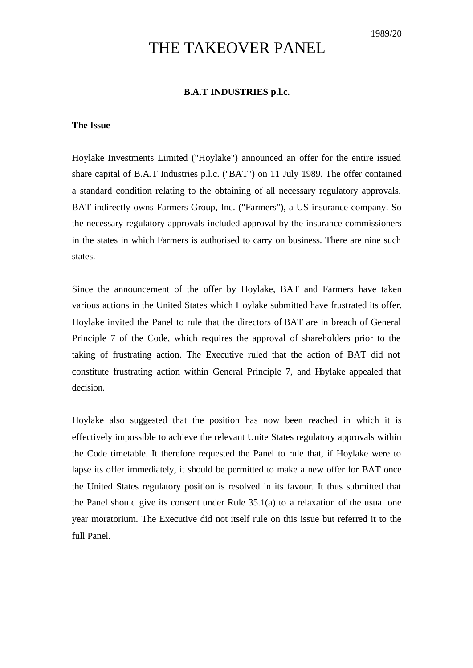# THE TAKEOVER PANEL

#### **B.A.T INDUSTRIES p.l.c.**

#### **The Issue**

Hoylake Investments Limited ("Hoylake") announced an offer for the entire issued share capital of B.A.T Industries p.l.c. (''BAT") on 11 July 1989. The offer contained a standard condition relating to the obtaining of all necessary regulatory approvals. BAT indirectly owns Farmers Group, Inc. ("Farmers"), a US insurance company. So the necessary regulatory approvals included approval by the insurance commissioners in the states in which Farmers is authorised to carry on business. There are nine such states.

Since the announcement of the offer by Hoylake, BAT and Farmers have taken various actions in the United States which Hoylake submitted have frustrated its offer. Hoylake invited the Panel to rule that the directors of BAT are in breach of General Principle 7 of the Code, which requires the approval of shareholders prior to the taking of frustrating action. The Executive ruled that the action of BAT did not constitute frustrating action within General Principle 7, and Hoylake appealed that decision.

Hoylake also suggested that the position has now been reached in which it is effectively impossible to achieve the relevant Unite States regulatory approvals within the Code timetable. It therefore requested the Panel to rule that, if Hoylake were to lapse its offer immediately, it should be permitted to make a new offer for BAT once the United States regulatory position is resolved in its favour. It thus submitted that the Panel should give its consent under Rule  $35.1(a)$  to a relaxation of the usual one year moratorium. The Executive did not itself rule on this issue but referred it to the full Panel.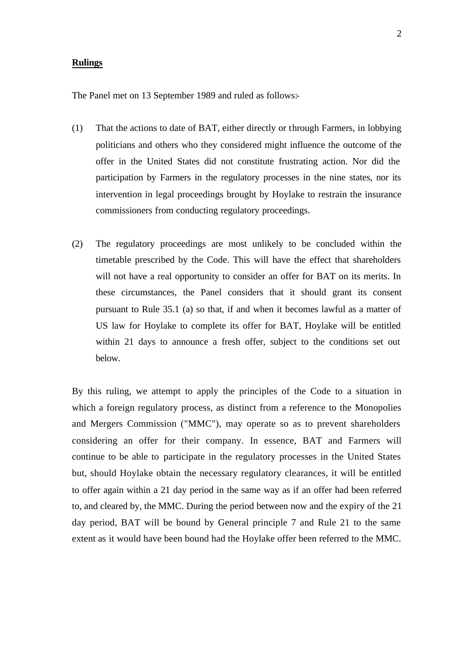## **Rulings**

The Panel met on 13 September 1989 and ruled as follows:-

- (1) That the actions to date of BAT, either directly or through Farmers, in lobbying politicians and others who they considered might influence the outcome of the offer in the United States did not constitute frustrating action. Nor did the participation by Farmers in the regulatory processes in the nine states, nor its intervention in legal proceedings brought by Hoylake to restrain the insurance commissioners from conducting regulatory proceedings.
- (2) The regulatory proceedings are most unlikely to be concluded within the timetable prescribed by the Code. This will have the effect that shareholders will not have a real opportunity to consider an offer for BAT on its merits. In these circumstances, the Panel considers that it should grant its consent pursuant to Rule 35.1 (a) so that, if and when it becomes lawful as a matter of US law for Hoylake to complete its offer for BAT, Hoylake will be entitled within 21 days to announce a fresh offer, subject to the conditions set out below.

By this ruling, we attempt to apply the principles of the Code to a situation in which a foreign regulatory process, as distinct from a reference to the Monopolies and Mergers Commission ("MMC"), may operate so as to prevent shareholders considering an offer for their company. In essence, BAT and Farmers will continue to be able to participate in the regulatory processes in the United States but, should Hoylake obtain the necessary regulatory clearances, it will be entitled to offer again within a 21 day period in the same way as if an offer had been referred to, and cleared by, the MMC. During the period between now and the expiry of the 21 day period, BAT will be bound by General principle 7 and Rule 21 to the same extent as it would have been bound had the Hoylake offer been referred to the MMC.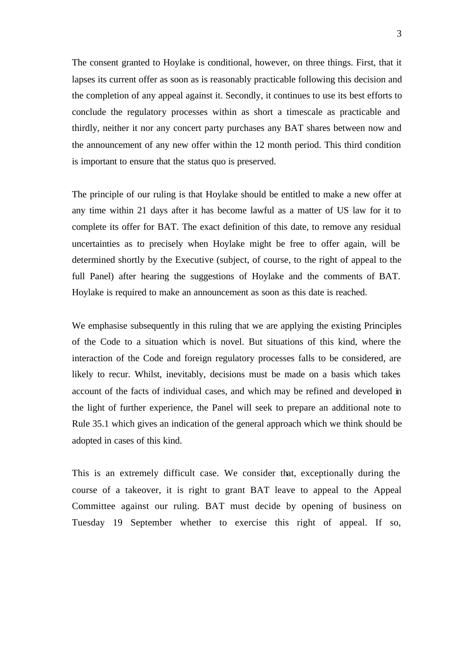The consent granted to Hoylake is conditional, however, on three things. First, that it lapses its current offer as soon as is reasonably practicable following this decision and the completion of any appeal against it. Secondly, it continues to use its best efforts to conclude the regulatory processes within as short a timescale as practicable and thirdly, neither it nor any concert party purchases any BAT shares between now and the announcement of any new offer within the 12 month period. This third condition is important to ensure that the status quo is preserved.

The principle of our ruling is that Hoylake should be entitled to make a new offer at any time within 21 days after it has become lawful as a matter of US law for it to complete its offer for BAT. The exact definition of this date, to remove any residual uncertainties as to precisely when Hoylake might be free to offer again, will be determined shortly by the Executive (subject, of course, to the right of appeal to the full Panel) after hearing the suggestions of Hoylake and the comments of BAT. Hoylake is required to make an announcement as soon as this date is reached.

We emphasise subsequently in this ruling that we are applying the existing Principles of the Code to a situation which is novel. But situations of this kind, where the interaction of the Code and foreign regulatory processes falls to be considered, are likely to recur. Whilst, inevitably, decisions must be made on a basis which takes account of the facts of individual cases, and which may be refined and developed in the light of further experience, the Panel will seek to prepare an additional note to Rule 35.1 which gives an indication of the general approach which we think should be adopted in cases of this kind.

This is an extremely difficult case. We consider that, exceptionally during the course of a takeover, it is right to grant BAT leave to appeal to the Appeal Committee against our ruling. BAT must decide by opening of business on Tuesday 19 September whether to exercise this right of appeal. If so,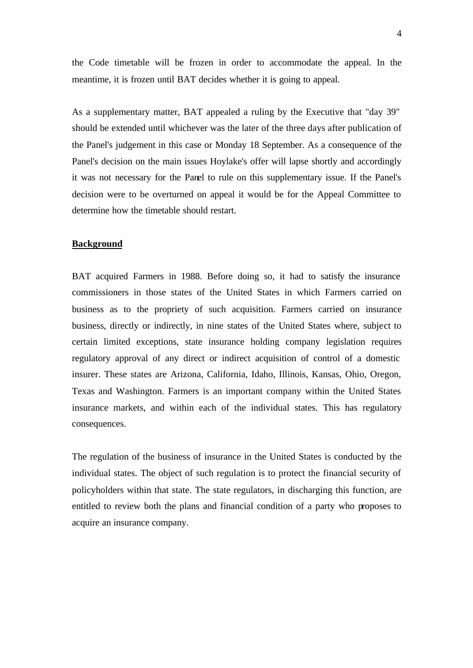the Code timetable will be frozen in order to accommodate the appeal. In the meantime, it is frozen until BAT decides whether it is going to appeal.

As a supplementary matter, BAT appealed a ruling by the Executive that "day 39" should be extended until whichever was the later of the three days after publication of the Panel's judgement in this case or Monday 18 September. As a consequence of the Panel's decision on the main issues Hoylake's offer will lapse shortly and accordingly it was not necessary for the Panel to rule on this supplementary issue. If the Panel's decision were to be overturned on appeal it would be for the Appeal Committee to determine how the timetable should restart.

## **Background**

BAT acquired Farmers in 1988. Before doing so, it had to satisfy the insurance commissioners in those states of the United States in which Farmers carried on business as to the propriety of such acquisition. Farmers carried on insurance business, directly or indirectly, in nine states of the United States where, subject to certain limited exceptions, state insurance holding company legislation requires regulatory approval of any direct or indirect acquisition of control of a domestic insurer. These states are Arizona, California, Idaho, Illinois, Kansas, Ohio, Oregon, Texas and Washington. Farmers is an important company within the United States insurance markets, and within each of the individual states. This has regulatory consequences.

The regulation of the business of insurance in the United States is conducted by the individual states. The object of such regulation is to protect the financial security of policyholders within that state. The state regulators, in discharging this function, are entitled to review both the plans and financial condition of a party who proposes to acquire an insurance company.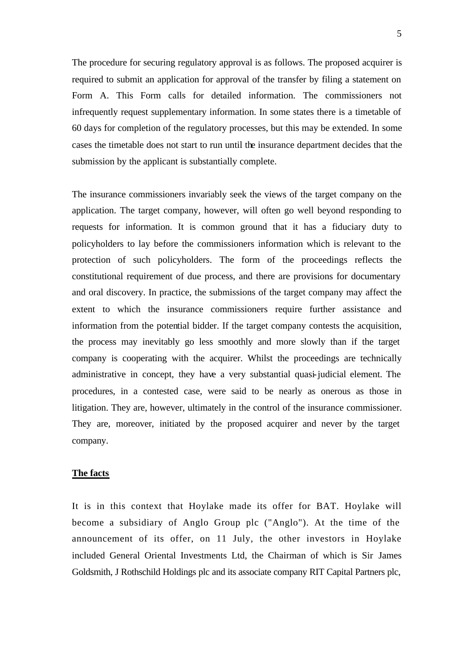The procedure for securing regulatory approval is as follows. The proposed acquirer is required to submit an application for approval of the transfer by filing a statement on Form A. This Form calls for detailed information. The commissioners not infrequently request supplementary information. In some states there is a timetable of 60 days for completion of the regulatory processes, but this may be extended. In some cases the timetable does not start to run until the insurance department decides that the submission by the applicant is substantially complete.

The insurance commissioners invariably seek the views of the target company on the application. The target company, however, will often go well beyond responding to requests for information. It is common ground that it has a fiduciary duty to policyholders to lay before the commissioners information which is relevant to the protection of such policyholders. The form of the proceedings reflects the constitutional requirement of due process, and there are provisions for documentary and oral discovery. In practice, the submissions of the target company may affect the extent to which the insurance commissioners require further assistance and information from the potential bidder. If the target company contests the acquisition, the process may inevitably go less smoothly and more slowly than if the target company is cooperating with the acquirer. Whilst the proceedings are technically administrative in concept, they have a very substantial quasi-judicial element. The procedures, in a contested case, were said to be nearly as onerous as those in litigation. They are, however, ultimately in the control of the insurance commissioner. They are, moreover, initiated by the proposed acquirer and never by the target company.

# **The facts**

It is in this context that Hoylake made its offer for BAT. Hoylake will become a subsidiary of Anglo Group plc ("Anglo"). At the time of the announcement of its offer, on 11 July, the other investors in Hoylake included General Oriental Investments Ltd, the Chairman of which is Sir James Goldsmith, J Rothschild Holdings plc and its associate company RIT Capital Partners plc,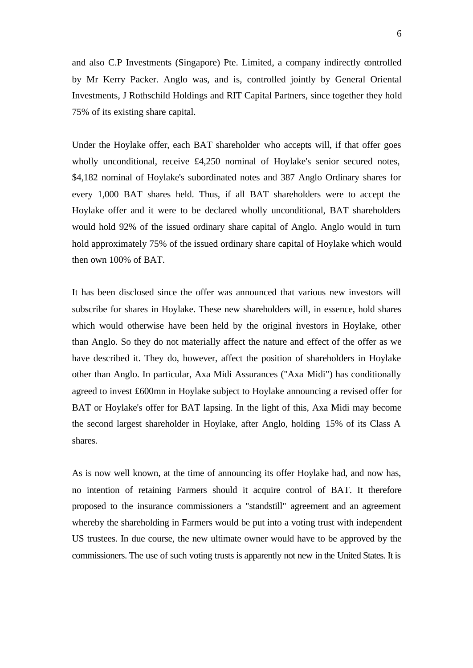and also C.P Investments (Singapore) Pte. Limited, a company indirectly controlled by Mr Kerry Packer. Anglo was, and is, controlled jointly by General Oriental Investments, J Rothschild Holdings and RIT Capital Partners, since together they hold 75% of its existing share capital.

Under the Hoylake offer, each BAT shareholder who accepts will, if that offer goes wholly unconditional, receive £4,250 nominal of Hoylake's senior secured notes, \$4,182 nominal of Hoylake's subordinated notes and 387 Anglo Ordinary shares for every 1,000 BAT shares held. Thus, if all BAT shareholders were to accept the Hoylake offer and it were to be declared wholly unconditional, BAT shareholders would hold 92% of the issued ordinary share capital of Anglo. Anglo would in turn hold approximately 75% of the issued ordinary share capital of Hoylake which would then own 100% of BAT.

It has been disclosed since the offer was announced that various new investors will subscribe for shares in Hoylake. These new shareholders will, in essence, hold shares which would otherwise have been held by the original investors in Hoylake, other than Anglo. So they do not materially affect the nature and effect of the offer as we have described it. They do, however, affect the position of shareholders in Hoylake other than Anglo. In particular, Axa Midi Assurances ("Axa Midi") has conditionally agreed to invest £600mn in Hoylake subject to Hoylake announcing a revised offer for BAT or Hoylake's offer for BAT lapsing. In the light of this, Axa Midi may become the second largest shareholder in Hoylake, after Anglo, holding 15% of its Class A shares.

As is now well known, at the time of announcing its offer Hoylake had, and now has, no intention of retaining Farmers should it acquire control of BAT. It therefore proposed to the insurance commissioners a "standstill" agreement and an agreement whereby the shareholding in Farmers would be put into a voting trust with independent US trustees. In due course, the new ultimate owner would have to be approved by the commissioners. The use of such voting trusts is apparently not new in the United States. It is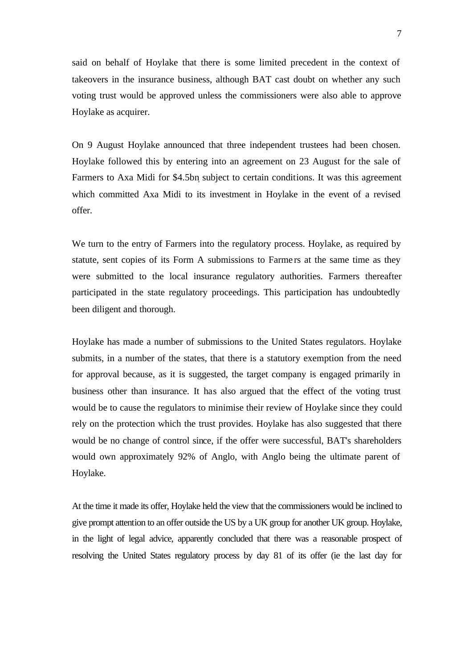said on behalf of Hoylake that there is some limited precedent in the context of takeovers in the insurance business, although BAT cast doubt on whether any such voting trust would be approved unless the commissioners were also able to approve Hoylake as acquirer.

On 9 August Hoylake announced that three independent trustees had been chosen. Hoylake followed this by entering into an agreement on 23 August for the sale of Farmers to Axa Midi for \$4.5bn, subject to certain conditions. It was this agreement which committed Axa Midi to its investment in Hoylake in the event of a revised offer.

We turn to the entry of Farmers into the regulatory process. Hoylake, as required by statute, sent copies of its Form A submissions to Farme rs at the same time as they were submitted to the local insurance regulatory authorities. Farmers thereafter participated in the state regulatory proceedings. This participation has undoubtedly been diligent and thorough.

Hoylake has made a number of submissions to the United States regulators. Hoylake submits, in a number of the states, that there is a statutory exemption from the need for approval because, as it is suggested, the target company is engaged primarily in business other than insurance. It has also argued that the effect of the voting trust would be to cause the regulators to minimise their review of Hoylake since they could rely on the protection which the trust provides. Hoylake has also suggested that there would be no change of control since, if the offer were successful, BAT's shareholders would own approximately 92% of Anglo, with Anglo being the ultimate parent of Hoylake.

At the time it made its offer, Hoylake held the view that the commissioners would be inclined to give prompt attention to an offer outside the US by a UK group for another UK group. Hoylake, in the light of legal advice, apparently concluded that there was a reasonable prospect of resolving the United States regulatory process by day 81 of its offer (ie the last day for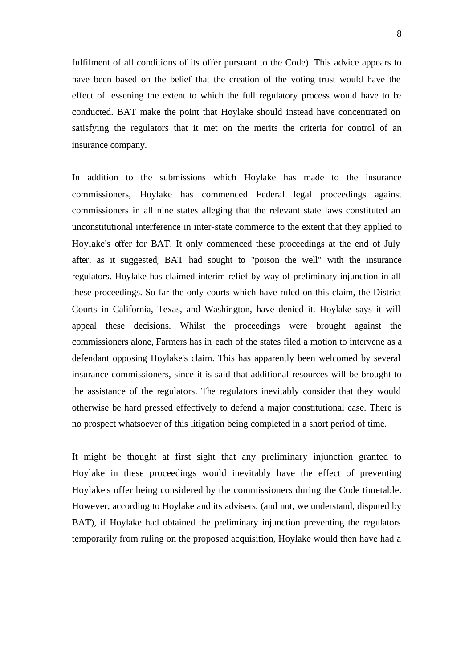fulfilment of all conditions of its offer pursuant to the Code). This advice appears to have been based on the belief that the creation of the voting trust would have the effect of lessening the extent to which the full regulatory process would have to be conducted. BAT make the point that Hoylake should instead have concentrated on satisfying the regulators that it met on the merits the criteria for control of an insurance company.

In addition to the submissions which Hoylake has made to the insurance commissioners, Hoylake has commenced Federal legal proceedings against commissioners in all nine states alleging that the relevant state laws constituted an unconstitutional interference in inter-state commerce to the extent that they applied to Hoylake's offer for BAT. It only commenced these proceedings at the end of July after, as it suggested, BAT had sought to "poison the well" with the insurance regulators. Hoylake has claimed interim relief by way of preliminary injunction in all these proceedings. So far the only courts which have ruled on this claim, the District Courts in California, Texas, and Washington, have denied it. Hoylake says it will appeal these decisions. Whilst the proceedings were brought against the commissioners alone, Farmers has in each of the states filed a motion to intervene as a defendant opposing Hoylake's claim. This has apparently been welcomed by several insurance commissioners, since it is said that additional resources will be brought to the assistance of the regulators. The regulators inevitably consider that they would otherwise be hard pressed effectively to defend a major constitutional case. There is no prospect whatsoever of this litigation being completed in a short period of time.

It might be thought at first sight that any preliminary injunction granted to Hoylake in these proceedings would inevitably have the effect of preventing Hoylake's offer being considered by the commissioners during the Code timetable. However, according to Hoylake and its advisers, (and not, we understand, disputed by BAT), if Hoylake had obtained the preliminary injunction preventing the regulators temporarily from ruling on the proposed acquisition, Hoylake would then have had a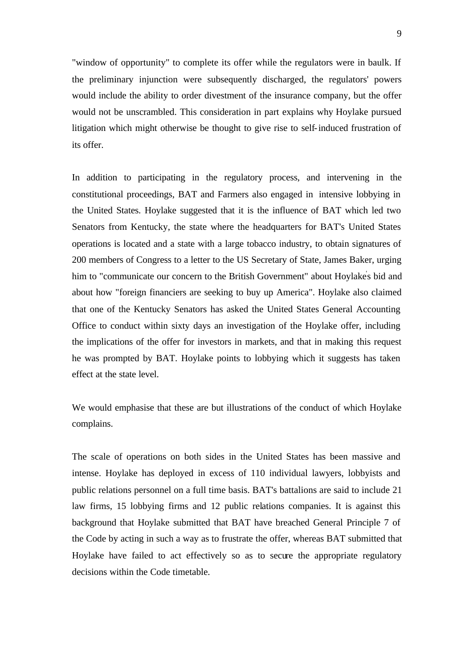9

"window of opportunity" to complete its offer while the regulators were in baulk. If the preliminary injunction were subsequently discharged, the regulators' powers would include the ability to order divestment of the insurance company, but the offer would not be unscrambled. This consideration in part explains why Hoylake pursued litigation which might otherwise be thought to give rise to self-induced frustration of its offer.

In addition to participating in the regulatory process, and intervening in the constitutional proceedings, BAT and Farmers also engaged in intensive lobbying in the United States. Hoylake suggested that it is the influence of BAT which led two Senators from Kentucky, the state where the headquarters for BAT's United States operations is located and a state with a large tobacco industry, to obtain signatures of 200 members of Congress to a letter to the US Secretary of State, James Baker, urging him to "communicate our concern to the British Government" about Hoylakes bid and about how "foreign financiers are seeking to buy up America". Hoylake also claimed that one of the Kentucky Senators has asked the United States General Accounting Office to conduct within sixty days an investigation of the Hoylake offer, including the implications of the offer for investors in markets, and that in making this request he was prompted by BAT. Hoylake points to lobbying which it suggests has taken effect at the state level.

We would emphasise that these are but illustrations of the conduct of which Hoylake complains.

The scale of operations on both sides in the United States has been massive and intense. Hoylake has deployed in excess of 110 individual lawyers, lobbyists and public relations personnel on a full time basis. BAT's battalions are said to include 21 law firms, 15 lobbying firms and 12 public relations companies. It is against this background that Hoylake submitted that BAT have breached General Principle 7 of the Code by acting in such a way as to frustrate the offer, whereas BAT submitted that Hoylake have failed to act effectively so as to secure the appropriate regulatory decisions within the Code timetable.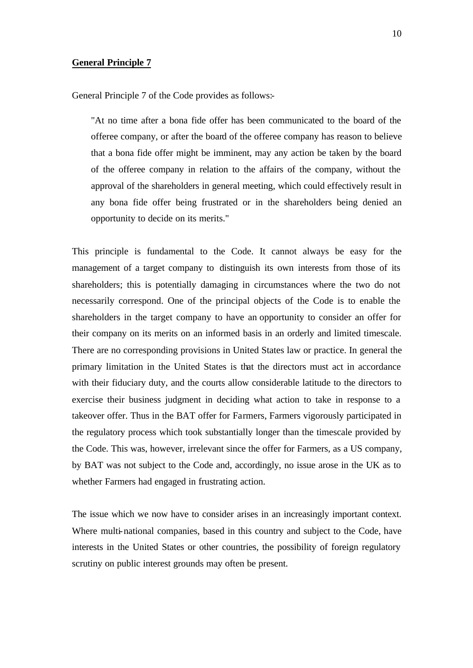### **General Principle 7**

General Principle 7 of the Code provides as follows:-

"At no time after a bona fide offer has been communicated to the board of the offeree company, or after the board of the offeree company has reason to believe that a bona fide offer might be imminent, may any action be taken by the board of the offeree company in relation to the affairs of the company, without the approval of the shareholders in general meeting, which could effectively result in any bona fide offer being frustrated or in the shareholders being denied an opportunity to decide on its merits."

This principle is fundamental to the Code. It cannot always be easy for the management of a target company to distinguish its own interests from those of its shareholders; this is potentially damaging in circumstances where the two do not necessarily correspond. One of the principal objects of the Code is to enable the shareholders in the target company to have an opportunity to consider an offer for their company on its merits on an informed basis in an orderly and limited timescale. There are no corresponding provisions in United States law or practice. In general the primary limitation in the United States is that the directors must act in accordance with their fiduciary duty, and the courts allow considerable latitude to the directors to exercise their business judgment in deciding what action to take in response to a takeover offer. Thus in the BAT offer for Farmers, Farmers vigorously participated in the regulatory process which took substantially longer than the timescale provided by the Code. This was, however, irrelevant since the offer for Farmers, as a US company, by BAT was not subject to the Code and, accordingly, no issue arose in the UK as to whether Farmers had engaged in frustrating action.

The issue which we now have to consider arises in an increasingly important context. Where multi-national companies, based in this country and subject to the Code, have interests in the United States or other countries, the possibility of foreign regulatory scrutiny on public interest grounds may often be present.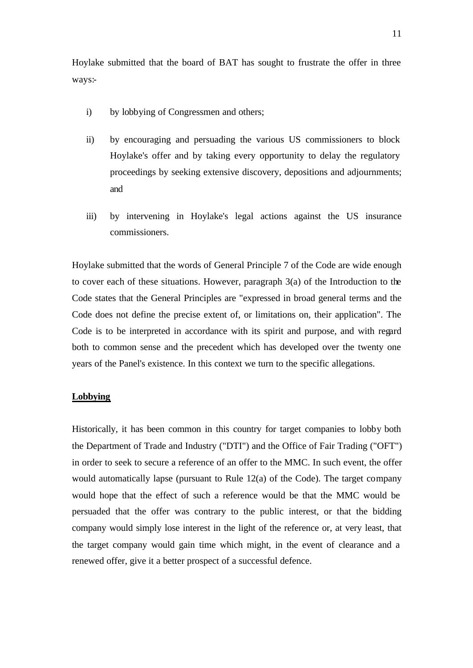Hoylake submitted that the board of BAT has sought to frustrate the offer in three ways:-

- i) by lobbying of Congressmen and others;
- ii) by encouraging and persuading the various US commissioners to block Hoylake's offer and by taking every opportunity to delay the regulatory proceedings by seeking extensive discovery, depositions and adjournments; and
- iii) by intervening in Hoylake's legal actions against the US insurance commissioners.

Hoylake submitted that the words of General Principle 7 of the Code are wide enough to cover each of these situations. However, paragraph 3(a) of the Introduction to the Code states that the General Principles are "expressed in broad general terms and the Code does not define the precise extent of, or limitations on, their application". The Code is to be interpreted in accordance with its spirit and purpose, and with regard both to common sense and the precedent which has developed over the twenty one years of the Panel's existence. In this context we turn to the specific allegations.

### **Lobbying**

Historically, it has been common in this country for target companies to lobby both the Department of Trade and Industry ("DTI") and the Office of Fair Trading ("OFT") in order to seek to secure a reference of an offer to the MMC. In such event, the offer would automatically lapse (pursuant to Rule  $12(a)$  of the Code). The target company would hope that the effect of such a reference would be that the MMC would be persuaded that the offer was contrary to the public interest, or that the bidding company would simply lose interest in the light of the reference or, at very least, that the target company would gain time which might, in the event of clearance and a renewed offer, give it a better prospect of a successful defence.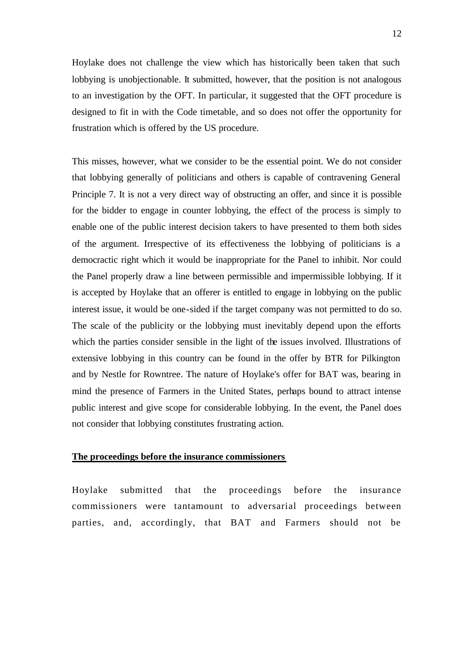Hoylake does not challenge the view which has historically been taken that such lobbying is unobjectionable. It submitted, however, that the position is not analogous to an investigation by the OFT. In particular, it suggested that the OFT procedure is designed to fit in with the Code timetable, and so does not offer the opportunity for frustration which is offered by the US procedure.

This misses, however, what we consider to be the essential point. We do not consider that lobbying generally of politicians and others is capable of contravening General Principle 7. It is not a very direct way of obstructing an offer, and since it is possible for the bidder to engage in counter lobbying, the effect of the process is simply to enable one of the public interest decision takers to have presented to them both sides of the argument. Irrespective of its effectiveness the lobbying of politicians is a democractic right which it would be inappropriate for the Panel to inhibit. Nor could the Panel properly draw a line between permissible and impermissible lobbying. If it is accepted by Hoylake that an offerer is entitled to engage in lobbying on the public interest issue, it would be one-sided if the target company was not permitted to do so. The scale of the publicity or the lobbying must inevitably depend upon the efforts which the parties consider sensible in the light of the issues involved. Illustrations of extensive lobbying in this country can be found in the offer by BTR for Pilkington and by Nestle for Rowntree. The nature of Hoylake's offer for BAT was, bearing in mind the presence of Farmers in the United States, perhaps bound to attract intense public interest and give scope for considerable lobbying. In the event, the Panel does not consider that lobbying constitutes frustrating action.

# **The proceedings before the insurance commissioners**

Hoylake submitted that the proceedings before the insurance commissioners were tantamount to adversarial proceedings between parties, and, accordingly, that BAT and Farmers should not be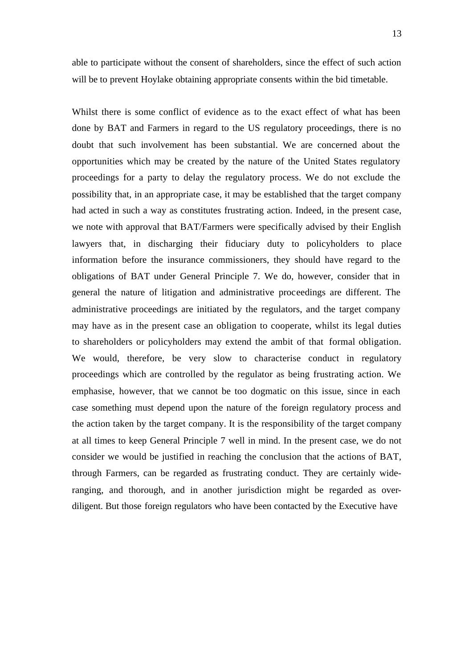able to participate without the consent of shareholders, since the effect of such action will be to prevent Hoylake obtaining appropriate consents within the bid timetable.

Whilst there is some conflict of evidence as to the exact effect of what has been done by BAT and Farmers in regard to the US regulatory proceedings, there is no doubt that such involvement has been substantial. We are concerned about the opportunities which may be created by the nature of the United States regulatory proceedings for a party to delay the regulatory process. We do not exclude the possibility that, in an appropriate case, it may be established that the target company had acted in such a way as constitutes frustrating action. Indeed, in the present case, we note with approval that BAT/Farmers were specifically advised by their English lawyers that, in discharging their fiduciary duty to policyholders to place information before the insurance commissioners, they should have regard to the obligations of BAT under General Principle 7. We do, however, consider that in general the nature of litigation and administrative proceedings are different. The administrative proceedings are initiated by the regulators, and the target company may have as in the present case an obligation to cooperate, whilst its legal duties to shareholders or policyholders may extend the ambit of that formal obligation. We would, therefore, be very slow to characterise conduct in regulatory proceedings which are controlled by the regulator as being frustrating action. We emphasise, however, that we cannot be too dogmatic on this issue, since in each case something must depend upon the nature of the foreign regulatory process and the action taken by the target company. It is the responsibility of the target company at all times to keep General Principle 7 well in mind. In the present case, we do not consider we would be justified in reaching the conclusion that the actions of BAT, through Farmers, can be regarded as frustrating conduct. They are certainly wideranging, and thorough, and in another jurisdiction might be regarded as overdiligent. But those foreign regulators who have been contacted by the Executive have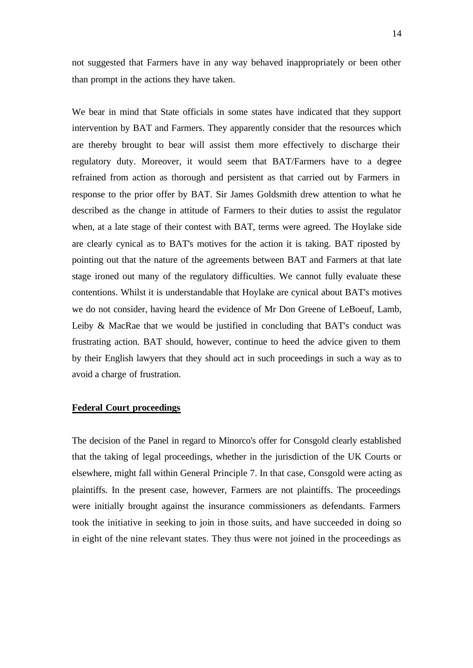not suggested that Farmers have in any way behaved inappropriately or been other than prompt in the actions they have taken.

We bear in mind that State officials in some states have indicated that they support intervention by BAT and Farmers. They apparently consider that the resources which are thereby brought to bear will assist them more effectively to discharge their regulatory duty. Moreover, it would seem that BAT/Farmers have to a degree refrained from action as thorough and persistent as that carried out by Farmers in response to the prior offer by BAT. Sir James Goldsmith drew attention to what he described as the change in attitude of Farmers to their duties to assist the regulator when, at a late stage of their contest with BAT, terms were agreed. The Hoylake side are clearly cynical as to BAT's motives for the action it is taking. BAT riposted by pointing out that the nature of the agreements between BAT and Farmers at that late stage ironed out many of the regulatory difficulties. We cannot fully evaluate these contentions. Whilst it is understandable that Hoylake are cynical about BAT's motives we do not consider, having heard the evidence of Mr Don Greene of LeBoeuf, Lamb, Leiby & MacRae that we would be justified in concluding that BAT's conduct was frustrating action. BAT should, however, continue to heed the advice given to them by their English lawyers that they should act in such proceedings in such a way as to avoid a charge of frustration.

## **Federal Court proceedings**

The decision of the Panel in regard to Minorco's offer for Consgold clearly established that the taking of legal proceedings, whether in the jurisdiction of the UK Courts or elsewhere, might fall within General Principle 7. In that case, Consgold were acting as plaintiffs. In the present case, however, Farmers are not plaintiffs. The proceedings were initially brought against the insurance commissioners as defendants. Farmers took the initiative in seeking to join in those suits, and have succeeded in doing so in eight of the nine relevant states. They thus were not joined in the proceedings as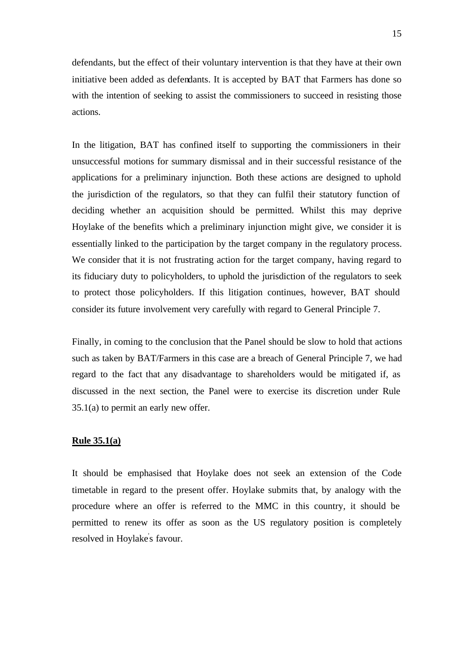defendants, but the effect of their voluntary intervention is that they have at their own initiative been added as defendants. It is accepted by BAT that Farmers has done so with the intention of seeking to assist the commissioners to succeed in resisting those actions.

In the litigation, BAT has confined itself to supporting the commissioners in their unsuccessful motions for summary dismissal and in their successful resistance of the applications for a preliminary injunction. Both these actions are designed to uphold the jurisdiction of the regulators, so that they can fulfil their statutory function of deciding whether an acquisition should be permitted. Whilst this may deprive Hoylake of the benefits which a preliminary injunction might give, we consider it is essentially linked to the participation by the target company in the regulatory process. We consider that it is not frustrating action for the target company, having regard to its fiduciary duty to policyholders, to uphold the jurisdiction of the regulators to seek to protect those policyholders. If this litigation continues, however, BAT should consider its future involvement very carefully with regard to General Principle 7.

Finally, in coming to the conclusion that the Panel should be slow to hold that actions such as taken by BAT/Farmers in this case are a breach of General Principle 7, we had regard to the fact that any disadvantage to shareholders would be mitigated if, as discussed in the next section, the Panel were to exercise its discretion under Rule 35.1(a) to permit an early new offer.

#### **Rule 35.1(a)**

It should be emphasised that Hoylake does not seek an extension of the Code timetable in regard to the present offer. Hoylake submits that, by analogy with the procedure where an offer is referred to the MMC in this country, it should be permitted to renew its offer as soon as the US regulatory position is completely resolved in Hoylake' s favour.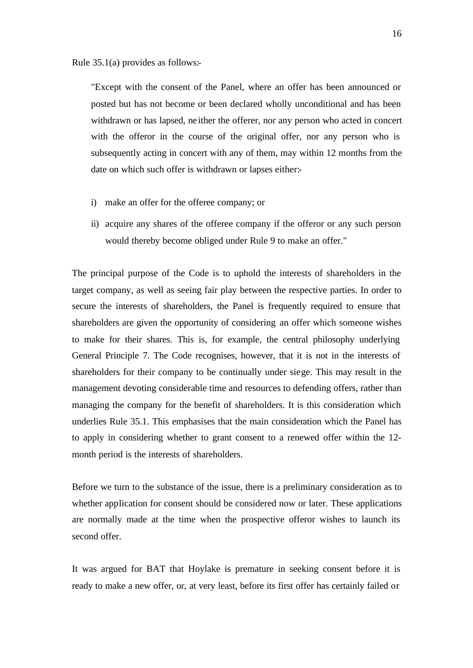Rule 35.1(a) provides as follows:-

"Except with the consent of the Panel, where an offer has been announced or posted but has not become or been declared wholly unconditional and has been withdrawn or has lapsed, ne ither the offerer, nor any person who acted in concert with the offeror in the course of the original offer, nor any person who is subsequently acting in concert with any of them, may within 12 months from the date on which such offer is withdrawn or lapses either:-

- i) make an offer for the offeree company; or
- ii) acquire any shares of the offeree company if the offeror or any such person would thereby become obliged under Rule 9 to make an offer."

The principal purpose of the Code is to uphold the interests of shareholders in the target company, as well as seeing fair play between the respective parties. In order to secure the interests of shareholders, the Panel is frequently required to ensure that shareholders are given the opportunity of considering an offer which someone wishes to make for their shares. This is, for example, the central philosophy underlying General Principle 7. The Code recognises, however, that it is not in the interests of shareholders for their company to be continually under siege. This may result in the management devoting considerable time and resources to defending offers, rather than managing the company for the benefit of shareholders. It is this consideration which underlies Rule 35.1. This emphasises that the main consideration which the Panel has to apply in considering whether to grant consent to a renewed offer within the 12 month period is the interests of shareholders.

Before we turn to the substance of the issue, there is a preliminary consideration as to whether application for consent should be considered now or later. These applications are normally made at the time when the prospective offeror wishes to launch its second offer.

It was argued for BAT that Hoylake is premature in seeking consent before it is ready to make a new offer, or, at very least, before its first offer has certainly failed or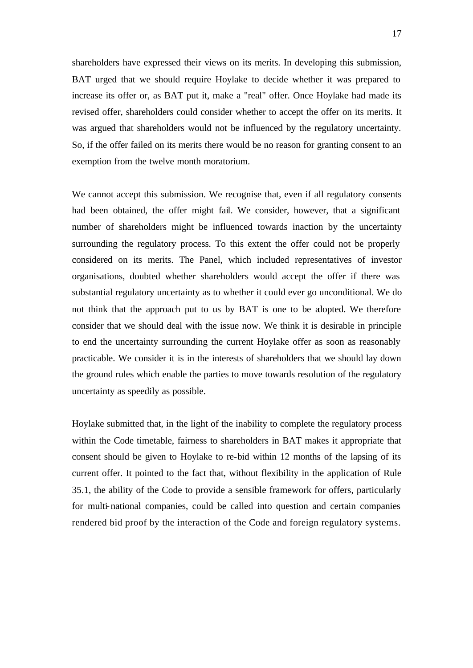shareholders have expressed their views on its merits. In developing this submission, BAT urged that we should require Hoylake to decide whether it was prepared to increase its offer or, as BAT put it, make a "real" offer. Once Hoylake had made its revised offer, shareholders could consider whether to accept the offer on its merits. It was argued that shareholders would not be influenced by the regulatory uncertainty. So, if the offer failed on its merits there would be no reason for granting consent to an exemption from the twelve month moratorium.

We cannot accept this submission. We recognise that, even if all regulatory consents had been obtained, the offer might fail. We consider, however, that a significant number of shareholders might be influenced towards inaction by the uncertainty surrounding the regulatory process. To this extent the offer could not be properly considered on its merits. The Panel, which included representatives of investor organisations, doubted whether shareholders would accept the offer if there was substantial regulatory uncertainty as to whether it could ever go unconditional. We do not think that the approach put to us by BAT is one to be adopted. We therefore consider that we should deal with the issue now. We think it is desirable in principle to end the uncertainty surrounding the current Hoylake offer as soon as reasonably practicable. We consider it is in the interests of shareholders that we should lay down the ground rules which enable the parties to move towards resolution of the regulatory uncertainty as speedily as possible.

Hoylake submitted that, in the light of the inability to complete the regulatory process within the Code timetable, fairness to shareholders in BAT makes it appropriate that consent should be given to Hoylake to re-bid within 12 months of the lapsing of its current offer. It pointed to the fact that, without flexibility in the application of Rule 35.1, the ability of the Code to provide a sensible framework for offers, particularly for multi-national companies, could be called into question and certain companies rendered bid proof by the interaction of the Code and foreign regulatory systems.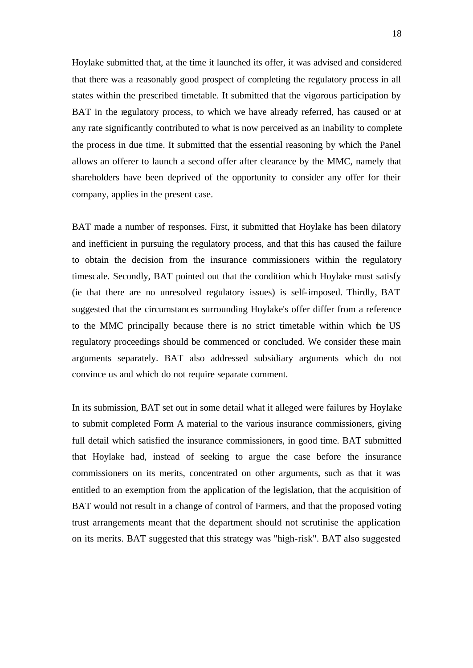Hoylake submitted that, at the time it launched its offer, it was advised and considered that there was a reasonably good prospect of completing the regulatory process in all states within the prescribed timetable. It submitted that the vigorous participation by BAT in the regulatory process, to which we have already referred, has caused or at any rate significantly contributed to what is now perceived as an inability to complete the process in due time. It submitted that the essential reasoning by which the Panel allows an offerer to launch a second offer after clearance by the MMC, namely that shareholders have been deprived of the opportunity to consider any offer for their company, applies in the present case.

BAT made a number of responses. First, it submitted that Hoylake has been dilatory and inefficient in pursuing the regulatory process, and that this has caused the failure to obtain the decision from the insurance commissioners within the regulatory timescale. Secondly, BAT pointed out that the condition which Hoylake must satisfy (ie that there are no unresolved regulatory issues) is self-imposed. Thirdly, BAT suggested that the circumstances surrounding Hoylake's offer differ from a reference to the MMC principally because there is no strict timetable within which the US regulatory proceedings should be commenced or concluded. We consider these main arguments separately. BAT also addressed subsidiary arguments which do not convince us and which do not require separate comment.

In its submission, BAT set out in some detail what it alleged were failures by Hoylake to submit completed Form A material to the various insurance commissioners, giving full detail which satisfied the insurance commissioners, in good time. BAT submitted that Hoylake had, instead of seeking to argue the case before the insurance commissioners on its merits, concentrated on other arguments, such as that it was entitled to an exemption from the application of the legislation, that the acquisition of BAT would not result in a change of control of Farmers, and that the proposed voting trust arrangements meant that the department should not scrutinise the application on its merits. BAT suggested that this strategy was "high-risk". BAT also suggested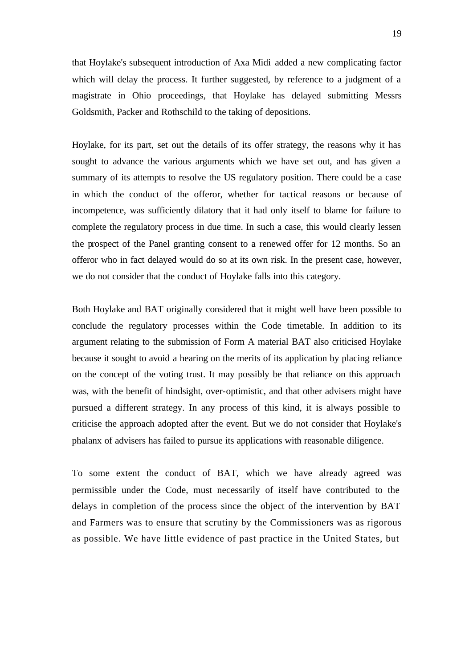that Hoylake's subsequent introduction of Axa Midi added a new complicating factor which will delay the process. It further suggested, by reference to a judgment of a magistrate in Ohio proceedings, that Hoylake has delayed submitting Messrs Goldsmith, Packer and Rothschild to the taking of depositions.

Hoylake, for its part, set out the details of its offer strategy, the reasons why it has sought to advance the various arguments which we have set out, and has given a summary of its attempts to resolve the US regulatory position. There could be a case in which the conduct of the offeror, whether for tactical reasons or because of incompetence, was sufficiently dilatory that it had only itself to blame for failure to complete the regulatory process in due time. In such a case, this would clearly lessen the prospect of the Panel granting consent to a renewed offer for 12 months. So an offeror who in fact delayed would do so at its own risk. In the present case, however, we do not consider that the conduct of Hoylake falls into this category.

Both Hoylake and BAT originally considered that it might well have been possible to conclude the regulatory processes within the Code timetable. In addition to its argument relating to the submission of Form A material BAT also criticised Hoylake because it sought to avoid a hearing on the merits of its application by placing reliance on the concept of the voting trust. It may possibly be that reliance on this approach was, with the benefit of hindsight, over-optimistic, and that other advisers might have pursued a different strategy. In any process of this kind, it is always possible to criticise the approach adopted after the event. But we do not consider that Hoylake's phalanx of advisers has failed to pursue its applications with reasonable diligence.

To some extent the conduct of BAT, which we have already agreed was permissible under the Code, must necessarily of itself have contributed to the delays in completion of the process since the object of the intervention by BAT and Farmers was to ensure that scrutiny by the Commissioners was as rigorous as possible. We have little evidence of past practice in the United States, but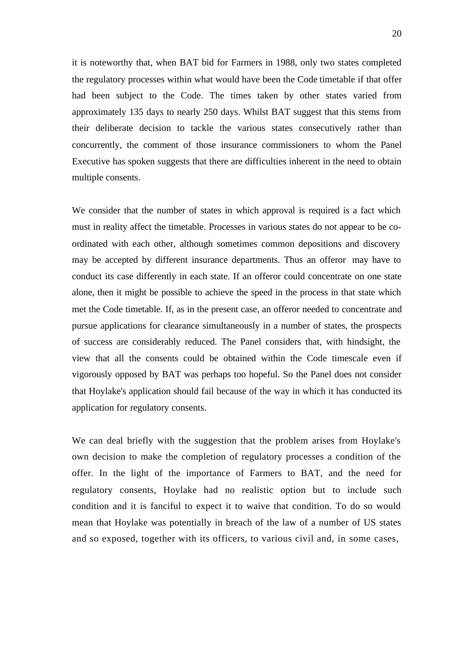it is noteworthy that, when BAT bid for Farmers in 1988, only two states completed the regulatory processes within what would have been the Code timetable if that offer had been subject to the Code. The times taken by other states varied from approximately 135 days to nearly 250 days. Whilst BAT suggest that this stems from their deliberate decision to tackle the various states consecutively rather than concurrently, the comment of those insurance commissioners to whom the Panel Executive has spoken suggests that there are difficulties inherent in the need to obtain multiple consents.

We consider that the number of states in which approval is required is a fact which must in reality affect the timetable. Processes in various states do not appear to be coordinated with each other, although sometimes common depositions and discovery may be accepted by different insurance departments. Thus an offeror may have to conduct its case differently in each state. If an offeror could concentrate on one state alone, then it might be possible to achieve the speed in the process in that state which met the Code timetable. If, as in the present case, an offeror needed to concentrate and pursue applications for clearance simultaneously in a number of states, the prospects of success are considerably reduced. The Panel considers that, with hindsight, the view that all the consents could be obtained within the Code timescale even if vigorously opposed by BAT was perhaps too hopeful. So the Panel does not consider that Hoylake's application should fail because of the way in which it has conducted its application for regulatory consents.

We can deal briefly with the suggestion that the problem arises from Hoylake's own decision to make the completion of regulatory processes a condition of the offer. In the light of the importance of Farmers to BAT, and the need for regulatory consents, Hoylake had no realistic option but to include such condition and it is fanciful to expect it to waive that condition. To do so would mean that Hoylake was potentially in breach of the law of a number of US states and so exposed, together with its officers, to various civil and, in some cases,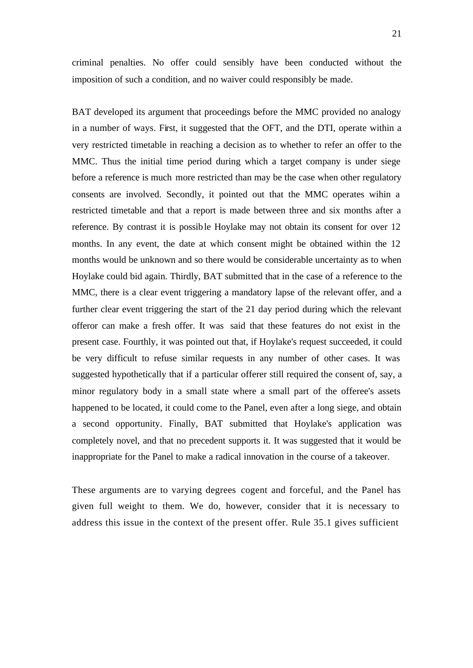criminal penalties. No offer could sensibly have been conducted without the imposition of such a condition, and no waiver could responsibly be made.

BAT developed its argument that proceedings before the MMC provided no analogy in a number of ways. First, it suggested that the OFT, and the DTI, operate within a very restricted timetable in reaching a decision as to whether to refer an offer to the MMC. Thus the initial time period during which a target company is under siege before a reference is much more restricted than may be the case when other regulatory consents are involved. Secondly, it pointed out that the MMC operates wihin a restricted timetable and that a report is made between three and six months after a reference. By contrast it is possible Hoylake may not obtain its consent for over 12 months. In any event, the date at which consent might be obtained within the 12 months would be unknown and so there would be considerable uncertainty as to when Hoylake could bid again. Thirdly, BAT submitted that in the case of a reference to the MMC, there is a clear event triggering a mandatory lapse of the relevant offer, and a further clear event triggering the start of the 21 day period during which the relevant offeror can make a fresh offer. It was said that these features do not exist in the present case. Fourthly, it was pointed out that, if Hoylake's request succeeded, it could be very difficult to refuse similar requests in any number of other cases. It was suggested hypothetically that if a particular offerer still required the consent of, say, a minor regulatory body in a small state where a small part of the offeree's assets happened to be located, it could come to the Panel, even after a long siege, and obtain a second opportunity. Finally, BAT submitted that Hoylake's application was completely novel, and that no precedent supports it. It was suggested that it would be inappropriate for the Panel to make a radical innovation in the course of a takeover.

These arguments are to varying degrees cogent and forceful, and the Panel has given full weight to them. We do, however, consider that it is necessary to address this issue in the context of the present offer. Rule 35.1 gives sufficient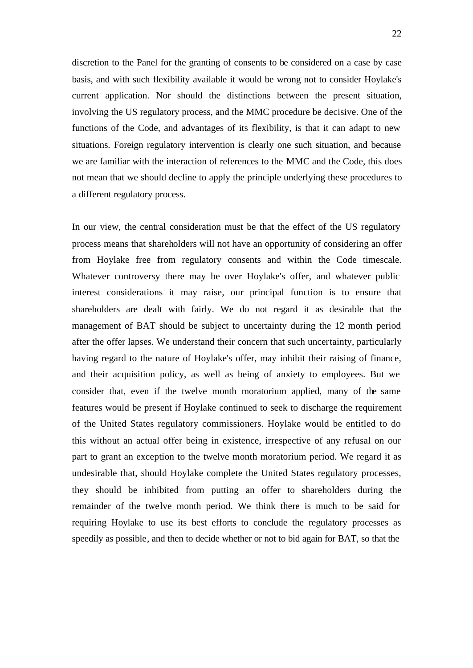discretion to the Panel for the granting of consents to be considered on a case by case basis, and with such flexibility available it would be wrong not to consider Hoylake's current application. Nor should the distinctions between the present situation, involving the US regulatory process, and the MMC procedure be decisive. One of the functions of the Code, and advantages of its flexibility, is that it can adapt to new situations. Foreign regulatory intervention is clearly one such situation, and because we are familiar with the interaction of references to the MMC and the Code, this does not mean that we should decline to apply the principle underlying these procedures to a different regulatory process.

In our view, the central consideration must be that the effect of the US regulatory process means that shareholders will not have an opportunity of considering an offer from Hoylake free from regulatory consents and within the Code timescale. Whatever controversy there may be over Hoylake's offer, and whatever public interest considerations it may raise, our principal function is to ensure that shareholders are dealt with fairly. We do not regard it as desirable that the management of BAT should be subject to uncertainty during the 12 month period after the offer lapses. We understand their concern that such uncertainty, particularly having regard to the nature of Hoylake's offer, may inhibit their raising of finance, and their acquisition policy, as well as being of anxiety to employees. But we consider that, even if the twelve month moratorium applied, many of the same features would be present if Hoylake continued to seek to discharge the requirement of the United States regulatory commissioners. Hoylake would be entitled to do this without an actual offer being in existence, irrespective of any refusal on our part to grant an exception to the twelve month moratorium period. We regard it as undesirable that, should Hoylake complete the United States regulatory processes, they should be inhibited from putting an offer to shareholders during the remainder of the twelve month period. We think there is much to be said for requiring Hoylake to use its best efforts to conclude the regulatory processes as speedily as possible, and then to decide whether or not to bid again for BAT, so that the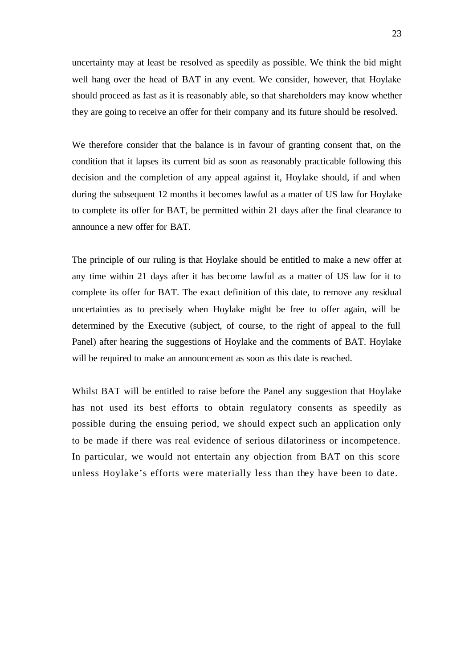uncertainty may at least be resolved as speedily as possible. We think the bid might well hang over the head of BAT in any event. We consider, however, that Hoylake should proceed as fast as it is reasonably able, so that shareholders may know whether they are going to receive an offer for their company and its future should be resolved.

We therefore consider that the balance is in favour of granting consent that, on the condition that it lapses its current bid as soon as reasonably practicable following this decision and the completion of any appeal against it, Hoylake should, if and when during the subsequent 12 months it becomes lawful as a matter of US law for Hoylake to complete its offer for BAT, be permitted within 21 days after the final clearance to announce a new offer for BAT.

The principle of our ruling is that Hoylake should be entitled to make a new offer at any time within 21 days after it has become lawful as a matter of US law for it to complete its offer for BAT. The exact definition of this date, to remove any residual uncertainties as to precisely when Hoylake might be free to offer again, will be determined by the Executive (subject, of course, to the right of appeal to the full Panel) after hearing the suggestions of Hoylake and the comments of BAT. Hoylake will be required to make an announcement as soon as this date is reached.

Whilst BAT will be entitled to raise before the Panel any suggestion that Hoylake has not used its best efforts to obtain regulatory consents as speedily as possible during the ensuing period, we should expect such an application only to be made if there was real evidence of serious dilatoriness or incompetence. In particular, we would not entertain any objection from BAT on this score unless Hoylake's efforts were materially less than they have been to date.